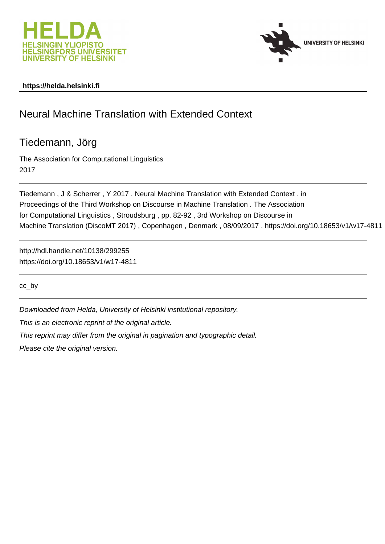



# **https://helda.helsinki.fi**

# Neural Machine Translation with Extended Context

# Tiedemann, Jörg

The Association for Computational Linguistics 2017

Tiedemann , J & Scherrer , Y 2017 , Neural Machine Translation with Extended Context . in Proceedings of the Third Workshop on Discourse in Machine Translation . The Association for Computational Linguistics , Stroudsburg , pp. 82-92 , 3rd Workshop on Discourse in Machine Translation (DiscoMT 2017) , Copenhagen , Denmark , 08/09/2017 . https://doi.org/10.18653/v1/w17-4811

http://hdl.handle.net/10138/299255 https://doi.org/10.18653/v1/w17-4811

cc\_by

Downloaded from Helda, University of Helsinki institutional repository.

This is an electronic reprint of the original article.

This reprint may differ from the original in pagination and typographic detail.

Please cite the original version.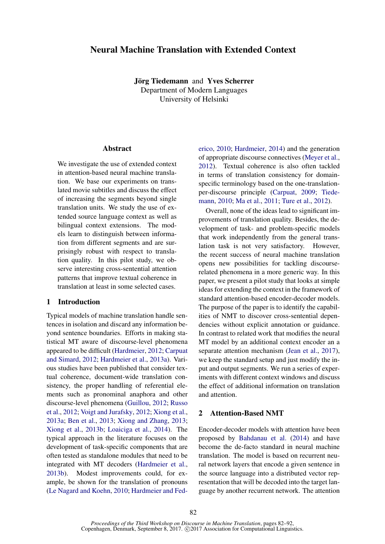# Neural Machine Translation with Extended Context

Jörg Tiedemann and Yves Scherrer Department of Modern Languages University of Helsinki

## **Abstract**

We investigate the use of extended context in attention-based neural machine translation. We base our experiments on translated movie subtitles and discuss the effect of increasing the segments beyond single translation units. We study the use of extended source language context as well as bilingual context extensions. The models learn to distinguish between information from different segments and are surprisingly robust with respect to translation quality. In this pilot study, we observe interesting cross-sentential attention patterns that improve textual coherence in translation at least in some selected cases.

### 1 Introduction

Typical models of machine translation handle sentences in isolation and discard any information beyond sentence boundaries. Efforts in making statistical MT aware of discourse-level phenomena appeared to be difficult (Hardmeier, 2012; Carpuat and Simard, 2012; Hardmeier et al., 2013a). Various studies have been published that consider textual coherence, document-wide translation consistency, the proper handling of referential elements such as pronominal anaphora and other discourse-level phenomena (Guillou, 2012; Russo et al., 2012; Voigt and Jurafsky, 2012; Xiong et al., 2013a; Ben et al., 2013; Xiong and Zhang, 2013; Xiong et al., 2013b; Loaiciga et al., 2014). The typical approach in the literature focuses on the development of task-specific components that are often tested as standalone modules that need to be integrated with MT decoders (Hardmeier et al., 2013b). Modest improvements could, for example, be shown for the translation of pronouns (Le Nagard and Koehn, 2010; Hardmeier and Fed-

erico, 2010; Hardmeier, 2014) and the generation of appropriate discourse connectives (Meyer et al., 2012). Textual coherence is also often tackled in terms of translation consistency for domainspecific terminology based on the one-translationper-discourse principle (Carpuat, 2009; Tiedemann, 2010; Ma et al., 2011; Ture et al., 2012).

Overall, none of the ideas lead to significant improvements of translation quality. Besides, the development of task- and problem-specific models that work independently from the general translation task is not very satisfactory. However, the recent success of neural machine translation opens new possibilities for tackling discourserelated phenomena in a more generic way. In this paper, we present a pilot study that looks at simple ideas for extending the context in the framework of standard attention-based encoder-decoder models. The purpose of the paper is to identify the capabilities of NMT to discover cross-sentential dependencies without explicit annotation or guidance. In contrast to related work that modifies the neural MT model by an additional context encoder an a separate attention mechanism (Jean et al., 2017), we keep the standard setup and just modify the input and output segments. We run a series of experiments with different context windows and discuss the effect of additional information on translation and attention.

# 2 Attention-Based NMT

Encoder-decoder models with attention have been proposed by Bahdanau et al. (2014) and have become the de-facto standard in neural machine translation. The model is based on recurrent neural network layers that encode a given sentence in the source language into a distributed vector representation that will be decoded into the target language by another recurrent network. The attention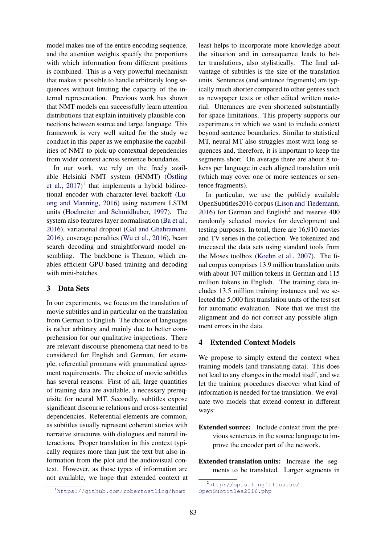model makes use of the entire encoding sequence, and the attention weights specify the proportions with which information from different positions is combined. This is a very powerful mechanism that makes it possible to handle arbitrarily long sequences without limiting the capacity of the internal representation. Previous work has shown that NMT models can successfully learn attention distributions that explain intuitively plausible connections between source and target language. This framework is very well suited for the study we conduct in this paper as we emphasise the capabilities of NMT to pick up contextual dependencies from wider context across sentence boundaries.

In our work, we rely on the freely available Helsinki NMT system (HNMT) (Östling et al.,  $2017$ <sup>1</sup> that implements a hybrid bidirectional encoder with character-level backoff (Luong and Manning, 2016) using recurrent LSTM units (Hochreiter and Schmidhuber, 1997). The system also features layer normalisation (Ba et al., 2016), variational dropout (Gal and Ghahramani, 2016), coverage penalties (Wu et al., 2016), beam search decoding and straightforward model ensembling. The backbone is Theano, which enables efficient GPU-based training and decoding with mini-batches.

# 3 Data Sets

In our experiments, we focus on the translation of movie subtitles and in particular on the translation from German to English. The choice of languages is rather arbitrary and mainly due to better comprehension for our qualitative inspections. There are relevant discourse phenomena that need to be considered for English and German, for example, referential pronouns with grammatical agreement requirements. The choice of movie subtitles has several reasons: First of all, large quantities of training data are available, a necessary prerequisite for neural MT. Secondly, subtitles expose significant discourse relations and cross-sentential dependencies. Referential elements are common, as subtitles usually represent coherent stories with narrative structures with dialogues and natural interactions. Proper translation in this context typically requires more than just the text but also information from the plot and the audiovisual context. However, as those types of information are not available, we hope that extended context at

<sup>1</sup>https://github.com/robertostling/hnmt

least helps to incorporate more knowledge about the situation and in consequence leads to better translations, also stylistically. The final advantage of subtitles is the size of the translation units. Sentences (and sentence fragments) are typically much shorter compared to other genres such as newspaper texts or other edited written material. Utterances are even shortened substantially for space limitations. This property supports our experiments in which we want to include context beyond sentence boundaries. Similar to statistical MT, neural MT also struggles most with long sequences and, therefore, it is important to keep the segments short. On average there are about 8 tokens per language in each aligned translation unit (which may cover one or more sentences or sentence fragments).

In particular, we use the publicly available OpenSubtitles2016 corpus (Lison and Tiedemann,  $2016$ ) for German and English<sup>2</sup> and reserve  $400$ randomly selected movies for development and testing purposes. In total, there are 16,910 movies and TV series in the collection. We tokenized and truecased the data sets using standard tools from the Moses toolbox (Koehn et al., 2007). The final corpus comprises 13.9 million translation units with about 107 million tokens in German and 115 million tokens in English. The training data includes 13.5 million training instances and we selected the 5,000 first translation units of the test set for automatic evaluation. Note that we trust the alignment and do not correct any possible alignment errors in the data.

## 4 Extended Context Models

We propose to simply extend the context when training models (and translating data). This does not lead to any changes in the model itself, and we let the training procedures discover what kind of information is needed for the translation. We evaluate two models that extend context in different ways:

Extended source: Include context from the previous sentences in the source language to improve the encoder part of the network.

Extended translation units: Increase the segments to be translated. Larger segments in

<sup>2</sup>http://opus.lingfil.uu.se/ OpenSubtitles2016.php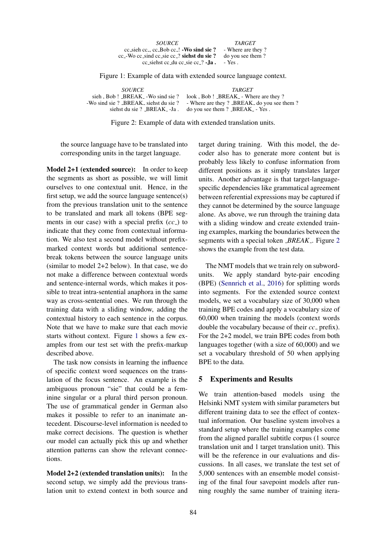| <i>SOURCE</i>                                       | <b>TARGET</b>     |
|-----------------------------------------------------|-------------------|
| $cc$ sieh $cc_$ , $cc_$ Bob $cc_$ ! - Wo sind sie?  | - Where are they? |
| $cc$ -Wo cc sind cc sie cc $\hat{c}$ siehst du sie? | do you see them?  |
| cc_siehst cc_du cc_sie cc_? $\Box$ <b>Ia.</b>       | $-$ Yes.          |

Figure 1: Example of data with extended source language context.

*SOURCE TARGET*<br>sieh, Bob! \_BREAK\_ -Wo sind sie? look, Bob! \_BREAK\_ - Wh sieh , Bob ! \_BREAK\_ -Wo sind sie ? look , Bob ! \_BREAK\_ - Where are they ? -Wo sind sie ? \_BREAK\_ siehst du sie ? - Where are they ? \_BREAK\_ do you see t sie ? BREAK siehst du sie ? - Where are they ? BREAK do you see them ? siehst du sie ? BREAK  $-$  Ja. do you see them ? BREAK  $-$  Yes. do you see them ? \_BREAK\_ - Yes .

Figure 2: Example of data with extended translation units.

the source language have to be translated into corresponding units in the target language.

Model 2+1 (extended source): In order to keep the segments as short as possible, we will limit ourselves to one contextual unit. Hence, in the first setup, we add the source language sentence(s) from the previous translation unit to the sentence to be translated and mark all tokens (BPE segments in our case) with a special prefix (*cc*<sub>-</sub>) to indicate that they come from contextual information. We also test a second model without prefixmarked context words but additional sentencebreak tokens between the source language units (similar to model 2+2 below). In that case, we do not make a difference between contextual words and sentence-internal words, which makes it possible to treat intra-sentential anaphora in the same way as cross-sentential ones. We run through the training data with a sliding window, adding the contextual history to each sentence in the corpus. Note that we have to make sure that each movie starts without context. Figure 1 shows a few examples from our test set with the prefix-markup described above.

The task now consists in learning the influence of specific context word sequences on the translation of the focus sentence. An example is the ambiguous pronoun "sie" that could be a feminine singular or a plural third person pronoun. The use of grammatical gender in German also makes it possible to refer to an inanimate antecedent. Discourse-level information is needed to make correct decisions. The question is whether our model can actually pick this up and whether attention patterns can show the relevant connections.

Model 2+2 (extended translation units): In the second setup, we simply add the previous translation unit to extend context in both source and target during training. With this model, the decoder also has to generate more content but is probably less likely to confuse information from different positions as it simply translates larger units. Another advantage is that target-languagespecific dependencies like grammatical agreement between referential expressions may be captured if they cannot be determined by the source language alone. As above, we run through the training data with a sliding window and create extended training examples, marking the boundaries between the segments with a special token *BREAK* . Figure 2 shows the example from the test data.

The NMT models that we train rely on subwordunits. We apply standard byte-pair encoding (BPE) (Sennrich et al., 2016) for splitting words into segments. For the extended source context models, we set a vocabulary size of 30,000 when training BPE codes and apply a vocabulary size of 60,000 when training the models (context words double the vocabulary because of their *cc*<sub>-</sub> prefix). For the 2+2 model, we train BPE codes from both languages together (with a size of 60,000) and we set a vocabulary threshold of 50 when applying BPE to the data.

### 5 Experiments and Results

We train attention-based models using the Helsinki NMT system with similar parameters but different training data to see the effect of contextual information. Our baseline system involves a standard setup where the training examples come from the aligned parallel subtitle corpus (1 source translation unit and 1 target translation unit). This will be the reference in our evaluations and discussions. In all cases, we translate the test set of 5,000 sentences with an ensemble model consisting of the final four savepoint models after running roughly the same number of training itera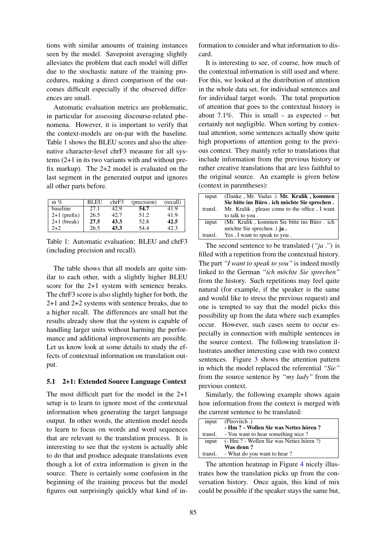tions with similar amounts of training instances seen by the model. Savepoint averaging slightly alleviates the problem that each model will differ due to the stochastic nature of the training procedures, making a direct comparison of the outcomes difficult especially if the observed differences are small.

Automatic evaluation metrics are problematic, in particular for assessing discourse-related phenomena. However, it is important to verify that the context-models are on-par with the baseline. Table 1 shows the BLEU scores and also the alternative character-level chrF3 measure for all systems (2+1 in its two variants with and without prefix markup). The 2+2 model is evaluated on the last segment in the generated output and ignores all other parts before.

| in $%$         | <b>BLEU</b> | chrF3 | (precision) | (recall) |
|----------------|-------------|-------|-------------|----------|
| baseline       | 27.1        | 42.9  | 54.7        | 41.9     |
| $2+1$ (prefix) | 26.5        | 42.7  | 51.2        | 41.9     |
| $2+1$ (break)  | 27.5        | 43.3  | 52.8        | 42.5     |
| $2+2$          | 26.5        | 43.3  | 54.4        | 42.3     |

Table 1: Automatic evaluation: BLEU and chrF3 (including precision and recall).

The table shows that all models are quite similar to each other, with a slightly higher BLEU score for the 2+1 system with sentence breaks. The chrF3 score is also slightly higher for both, the 2+1 and 2+2 systems with sentence breaks, due to a higher recall. The differences are small but the results already show that the system is capable of handling larger units without harming the performance and additional improvements are possible. Let us know look at some details to study the effects of contextual information on translation output.

#### 5.1 2+1: Extended Source Language Context

The most difficult part for the model in the 2+1 setup is to learn to ignore most of the contextual information when generating the target language output. In other words, the attention model needs to learn to focus on words and word sequences that are relevant to the translation process. It is interesting to see that the system is actually able to do that and produce adequate translations even though a lot of extra information is given in the source. There is certainly some confusion in the beginning of the training process but the model figures out surprisingly quickly what kind of in-

formation to consider and what information to discard.

It is interesting to see, of course, how much of the contextual information is still used and where. For this, we looked at the distribution of attention in the whole data set, for individual sentences and for individual target words. The total proportion of attention that goes to the contextual history is about 7.1%. This is small – as expected – but certainly not negligible. When sorting by contextual attention, some sentences actually show quite high proportions of attention going to the previous context. They mainly refer to translations that include information from the previous history or rather creative translations that are less faithful to the original source. An example is given below (context in parentheses):

| input   | (Danke, Mr. Vadas) Mr. Kralik, kommen         |
|---------|-----------------------------------------------|
|         | Sie bitte ins Büro. ich möchte Sie sprechen.  |
| transl. | Mr. Kralik, please come to the office, I want |
|         | to talk to you.                               |
| input   | (Mr. Kralik, kommen Sie bitte ins Büro, ich   |
|         | möchte Sie sprechen.) ja.                     |
| transl. | Yes, I want to speak to you.                  |

The second sentence to be translated (*"ja ."*) is filled with a repetition from the contextual history. The part *"I want to speak to you"* is indeed mostly linked to the German *"ich mochte Sie sprechen" ¨* from the history. Such repetitions may feel quite natural (for example, if the speaker is the same and would like to stress the previous request) and one is tempted to say that the model picks this possibility up from the data where such examples occur. However, such cases seem to occur especially in connection with multiple sentences in the source context. The following translation illustrates another interesting case with two context sentences. Figure 3 shows the attention pattern in which the model replaced the referential *"Sie"* from the source sentence by *"my lady"* from the previous context.

Similarly, the following example shows again how information from the context is merged with the current sentence to be translated:

| input   | (Pirovitch)                              |
|---------|------------------------------------------|
|         | - Hm ? - Wollen Sie was Nettes hören ?   |
| transl. | - You want to hear something nice?       |
| input   | (- Hm ? - Wollen Sie was Nettes hören ?) |
|         | Was denn?                                |
|         | transl. - What do you want to hear?      |

The attention heatmap in Figure 4 nicely illustrates how the translation picks up from the conversation history. Once again, this kind of mix could be possible if the speaker stays the same but,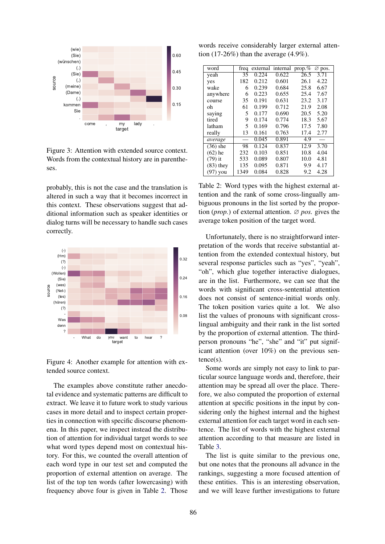

Figure 3: Attention with extended source context. Words from the contextual history are in parentheses.

probably, this is not the case and the translation is altered in such a way that it becomes incorrect in this context. These observations suggest that additional information such as speaker identities or dialog turns will be necessary to handle such cases correctly.



Figure 4: Another example for attention with extended source context.

The examples above constitute rather anecdotal evidence and systematic patterns are difficult to extract. We leave it to future work to study various cases in more detail and to inspect certain properties in connection with specific discourse phenomena. In this paper, we inspect instead the distribution of attention for individual target words to see what word types depend most on contextual history. For this, we counted the overall attention of each word type in our test set and computed the proportion of external attention on average. The list of the top ten words (after lowercasing) with frequency above four is given in Table 2. Those

words receive considerably larger external attention (17-26%) than the average  $(4.9\%)$ .

| word        | freq |       | external internal prop.% |      | $\varnothing$ pos. |
|-------------|------|-------|--------------------------|------|--------------------|
| yeah        | 35   | 0.224 | 0.622                    | 26.5 | 3.71               |
| yes         | 182  | 0.212 | 0.601                    | 26.1 | 4.22               |
| wake        | 6    | 0.239 | 0.684                    | 25.8 | 6.67               |
| anywhere    | 6    | 0.223 | 0.655                    | 25.4 | 7.67               |
| course      | 35   | 0.191 | 0.631                    | 23.2 | 3.17               |
| oh          | 61   | 0.199 | 0.712                    | 21.9 | 2.08               |
| saying      | 5    | 0.177 | 0.690                    | 20.5 | 5.20               |
| tired       | 9    | 0.174 | 0.774                    | 18.3 | 5.67               |
| latham      | 5    | 0.169 | 0.796                    | 17.5 | 7.80               |
| really      | 13   | 0.161 | 0.763                    | 17.4 | 2.77               |
| average     |      | 0.045 | 0.891                    | 4.9  |                    |
| $(36)$ she  | 98   | 0.124 | 0.837                    | 12.9 | 3.70               |
| $(62)$ he   | 232  | 0.103 | 0.851                    | 10.8 | 4.04               |
| $(79)$ it   | 533  | 0.089 | 0.807                    | 10.0 | 4.81               |
| $(83)$ they | 135  | 0.095 | 0.871                    | 9.9  | 4.17               |
| $(97)$ you  | 1349 | 0.084 | 0.828                    | 9.2  | 4.28               |

Table 2: Word types with the highest external attention and the rank of some cross-lingually ambiguous pronouns in the list sorted by the proportion (*prop.*) of external attention. ∅ *pos.* gives the average token position of the target word.

Unfortunately, there is no straightforward interpretation of the words that receive substantial attention from the extended contextual history, but several response particles such as "yes", "yeah", "oh", which glue together interactive dialogues, are in the list. Furthermore, we can see that the words with significant cross-sentential attention does not consist of sentence-initial words only. The token position varies quite a lot. We also list the values of pronouns with significant crosslingual ambiguity and their rank in the list sorted by the proportion of external attention. The thirdperson pronouns "he", "she" and "it" put significant attention (over 10%) on the previous sentence(s).

Some words are simply not easy to link to particular source language words and, therefore, their attention may be spread all over the place. Therefore, we also computed the proportion of external attention at specific positions in the input by considering only the highest internal and the highest external attention for each target word in each sentence. The list of words with the highest external attention according to that measure are listed in Table 3.

The list is quite similar to the previous one, but one notes that the pronouns all advance in the rankings, suggesting a more focused attention of these entities. This is an interesting observation, and we will leave further investigations to future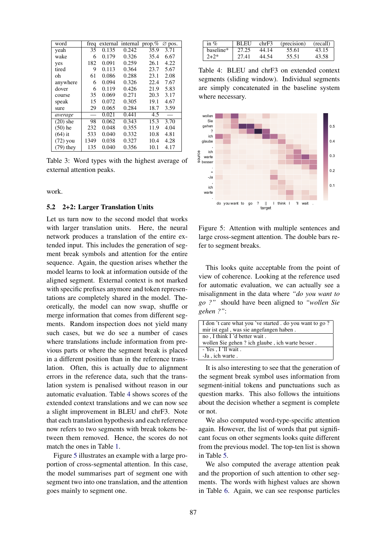| word        | freq |       | external internal prop.% |      | $\varnothing$ pos. |
|-------------|------|-------|--------------------------|------|--------------------|
| yeah        | 35   | 0.135 | 0.242                    | 35.9 | 3.71               |
| wake        | 6    | 0.179 | 0.326                    | 35.4 | 6.67               |
| yes         | 182  | 0.091 | 0.259                    | 26.1 | 4.22               |
| tired       | 9    | 0.113 | 0.364                    | 23.7 | 5.67               |
| oh          | 61   | 0.086 | 0.288                    | 23.1 | 2.08               |
| anywhere    | 6    | 0.094 | 0.326                    | 22.4 | 7.67               |
| dover       | 6    | 0.119 | 0.426                    | 21.9 | 5.83               |
| course      | 35   | 0.069 | 0.271                    | 20.3 | 3.17               |
| speak       | 15   | 0.072 | 0.305                    | 19.1 | 4.67               |
| sure        | 29   | 0.065 | 0.284                    | 18.7 | 3.59               |
| average     |      | 0.021 | 0.441                    | 4.5  |                    |
| $(20)$ she  | 98   | 0.062 | 0.343                    | 15.3 | 3.70               |
| $(50)$ he   | 232  | 0.048 | 0.355                    | 11.9 | 4.04               |
| $(64)$ it   | 533  | 0.040 | 0.332                    | 10.8 | 4.81               |
| $(72)$ you  | 1349 | 0.038 | 0.327                    | 10.4 | 4.28               |
| $(79)$ they | 135  | 0.040 | 0.356                    | 10.1 | 4.17               |

Table 3: Word types with the highest average of external attention peaks.

work.

#### 5.2 2+2: Larger Translation Units

Let us turn now to the second model that works with larger translation units. Here, the neural network produces a translation of the entire extended input. This includes the generation of segment break symbols and attention for the entire sequence. Again, the question arises whether the model learns to look at information outside of the aligned segment. External context is not marked with specific prefixes anymore and token representations are completely shared in the model. Theoretically, the model can now swap, shuffle or merge information that comes from different segments. Random inspection does not yield many such cases, but we do see a number of cases where translations include information from previous parts or where the segment break is placed in a different position than in the reference translation. Often, this is actually due to alignment errors in the reference data, such that the translation system is penalised without reason in our automatic evaluation. Table 4 shows scores of the extended context translations and we can now see a slight improvement in BLEU and chrF3. Note that each translation hypothesis and each reference now refers to two segments with break tokens between them removed. Hence, the scores do not match the ones in Table 1.

Figure 5 illustrates an example with a large proportion of cross-segmental attention. In this case, the model summarises part of segment one with segment two into one translation, and the attention goes mainly to segment one.

| $\ln \%$  | BLEU  | chrF3 | (precision) (recall) |       |
|-----------|-------|-------|----------------------|-------|
| haseline* | 27.25 | 44.14 | 55.61                | 43.15 |
| $2 + 2*$  | 27.41 | 44.54 | 55.51                | 43.58 |

Table 4: BLEU and chrF3 on extended context segments (sliding window). Individual segments are simply concatenated in the baseline system where necessary.



Figure 5: Attention with multiple sentences and large cross-segment attention. The double bars refer to segment breaks.

This looks quite acceptable from the point of view of coherence. Looking at the reference used for automatic evaluation, we can actually see a misalignment in the data where *"do you want to go ?"* should have been aligned to *"wollen Sie gehen ?"*:

| I don't care what you 've started . do you want to go? |
|--------------------------------------------------------|
| mir ist egal, was sie angefangen haben.                |
| no, I think I 'd better wait.                          |
| wollen Sie gehen? ich glaube, ich warte besser.        |
| $-$ Yes $\cdot$ I 'll wait .                           |
| -Ja, ich warte.                                        |

It is also interesting to see that the generation of the segment break symbol uses information from segment-initial tokens and punctuations such as question marks. This also follows the intuitions about the decision whether a segment is complete or not.

We also computed word-type-specific attention again. However, the list of words that put significant focus on other segments looks quite different from the previous model. The top-ten list is shown in Table 5.

We also computed the average attention peak and the proportion of such attention to other segments. The words with highest values are shown in Table 6. Again, we can see response particles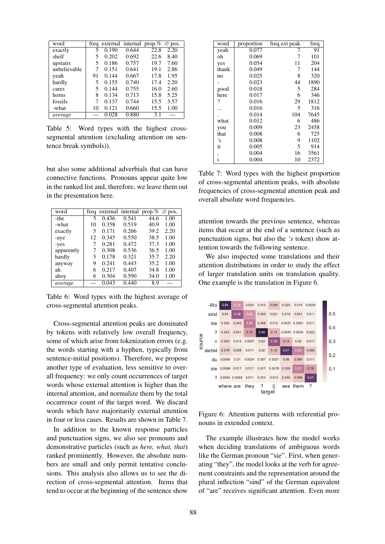| word         |    | freq external internal prop. $\%$ $\varnothing$ pos. |       |      |      |
|--------------|----|------------------------------------------------------|-------|------|------|
| exactly      | 5  | 0.190                                                | 0.644 | 22.8 | 2.20 |
| shelf        | 5  | 0.202                                                | 0.692 | 22.6 | 8.40 |
| upstairs     | 5  | 0.186                                                | 0.757 | 19.7 | 7.60 |
| unbelievable |    | 0.151                                                | 0.641 | 19.1 | 2.86 |
| veah         | 91 | 0.144                                                | 0.667 | 17.8 | 1.95 |
| hardly       | 5  | 0.155                                                | 0.740 | 17.4 | 2.20 |
| cares        | 5  | 0.144                                                | 0.755 | 16.0 | 2.60 |
| horns        | 8  | 0.134                                                | 0.713 | 15.8 | 5.25 |
| fossils      | 7  | 0.137                                                | 0.744 | 15.5 | 3.57 |
| -what        | 10 | 0.121                                                | 0.660 | 15.5 | 1.00 |
| average      |    | 0.028                                                | 0.880 | 3.1  |      |

Table 5: Word types with the highest crosssegmental attention (excluding attention on sentence break symbols)).

but also some additional adverbials that can have connective functions. Pronouns appear quite low in the ranked list and, therefore, we leave them out in the presentation here.

| word       | freq |       | external internal prop.% $\varnothing$ pos. |      |      |
|------------|------|-------|---------------------------------------------|------|------|
| -the       | 5    | 0.436 | 0.541                                       | 44.6 | 1.00 |
| -what      | 10   | 0.358 | 0.519                                       | 40.9 | 1.00 |
| exactly    | 5    | 0.171 | 0.266                                       | 39.2 | 2.20 |
| -aye       | 12   | 0.345 | 0.550                                       | 38.5 | 1.00 |
| -yes       |      | 0.281 | 0.472                                       | 37.3 | 1.00 |
| apparently |      | 0.308 | 0.536                                       | 36.5 | 1.00 |
| hardly     | 5    | 0.178 | 0.321                                       | 35.7 | 2.20 |
| anyway     | 9    | 0.241 | 0.443                                       | 35.2 | 1.00 |
| ah         | 6    | 0.217 | 0.407                                       | 34.8 | 1.00 |
| ahoy       | 6    | 0.304 | 0.590                                       | 34.0 | 1.00 |
| average    |      | 0.043 | 0.440                                       | 8.9  |      |

Table 6: Word types with the highest average of cross-segmental attention peaks.

Cross-segmental attention peaks are dominated by tokens with relatively low overall frequency, some of which arise from tokenization errors (e.g. the words starting with a hyphen, typically from sentence-initial positions). Therefore, we propose another type of evaluation, less sensitive to overall frequency: we only count occurrences of target words whose external attention is higher than the internal attention, and normalize them by the total occurrence count of the target word. We discard words which have majoritarily external attention in four or less cases. Results are shown in Table 7.

In addition to the known response particles and punctuation signs, we also see pronouns and demonstrative particles (such as *here, what, that*) ranked prominently. However, the absolute numbers are small and only permit tentative conclusions. This analysis also allows us to see the direction of cross-segmental attention. Items that tend to occur at the beginning of the sentence show

| word     | proportion | freq ext peak | freq |
|----------|------------|---------------|------|
| yeah     | 0.077      |               | 91   |
| oh       | 0.069      | 7             | 101  |
| yes      | 0.054      | 11            | 204  |
| thank    | 0.049      | 7             | 144  |
| no       | 0.025      | 8             | 320  |
|          | 0.023      | 44            | 1890 |
| good     | 0.018      | 5             | 284  |
| here     | 0.017      | 6             | 346  |
| ?        | 0.016      | 29            | 1812 |
|          | 0.016      | 5             | 316  |
|          | 0.014      | 104           | 7645 |
| what     | 0.012      | 6             | 486  |
| you      | 0.009      | 23            | 2458 |
| that     | 0.008      | 6             | 725  |
| 's       | 0.008      | 9             | 1102 |
| it       | 0.005      | 5             | 914  |
|          | 0.004      | 16            | 3561 |
| $\vdots$ | 0.004      | 10            | 2372 |

Table 7: Word types with the highest proportion of cross-segmental attention peaks, with absolute frequencies of cross-segmental attention peak and overall absolute word frequencies.

attention towards the previous sentence, whereas items that occur at the end of a sentence (such as punctuation signs, but also the *'s* token) show attention towards the following sentence.

We also inspected some translations and their attention distributions in order to study the effect of larger translation units on translation quality. One example is the translation in Figure 6.



Figure 6: Attention patterns with referential pronouns in extended context.

The example illustrates how the model works when deciding translations of ambiguous words like the German pronoun "sie". First, when generating "they", the model looks at the verb for agreement constraints and the representation around the plural inflection "sind" of the German equivalent of "are" receives significant attention. Even more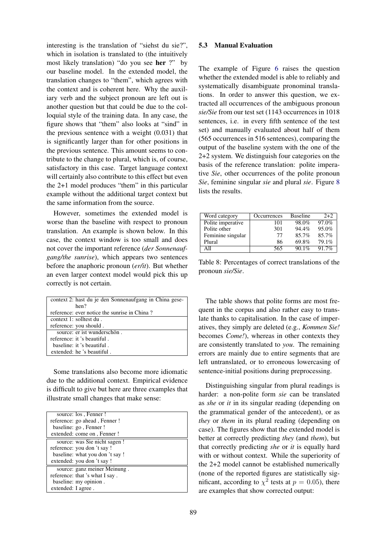interesting is the translation of "siehst du sie?", which in isolation is translated to (the intuitively most likely translation) "do you see her ?" by our baseline model. In the extended model, the translation changes to "them", which agrees with the context and is coherent here. Why the auxiliary verb and the subject pronoun are left out is another question but that could be due to the colloquial style of the training data. In any case, the figure shows that "them" also looks at "sind" in the previous sentence with a weight (0.031) that is significantly larger than for other positions in the previous sentence. This amount seems to contribute to the change to plural, which is, of course, satisfactory in this case. Target language context will certainly also contribute to this effect but even the 2+1 model produces "them" in this particular example without the additional target context but the same information from the source.

However, sometimes the extended model is worse than the baseline with respect to pronoun translation. An example is shown below. In this case, the context window is too small and does not cover the important reference (*der Sonnenaufgang/the sunrise*), which appears two sentences before the anaphoric pronoun (*er/it*). But whether an even larger context model would pick this up correctly is not certain.

|                         | context 2: hast du je den Sonnenaufgang in China gese- |
|-------------------------|--------------------------------------------------------|
|                         | hen?                                                   |
|                         | reference: ever notice the sunrise in China?           |
| context 1: solltest du. |                                                        |
|                         | reference: you should.                                 |
|                         | source: er ist wunderschön.                            |
|                         | reference: it 's beautiful.                            |
|                         | baseline: it 's beautiful.                             |
|                         | extended: he 's beautiful.                             |

Some translations also become more idiomatic due to the additional context. Empirical evidence is difficult to give but here are three examples that illustrate small changes that make sense:

|                    | source: los, Fenner!           |
|--------------------|--------------------------------|
|                    | reference: go ahead, Fenner!   |
|                    | baseline: go, Fenner!          |
|                    | extended: come on, Fenner!     |
|                    | source: was Sie nicht sagen!   |
|                    | reference: you don't say!      |
|                    | baseline: what you don't say ! |
|                    | extended: you don't say !      |
|                    | source: ganz meiner Meinung.   |
|                    | reference: that 's what I say. |
|                    | baseline: my opinion.          |
| extended: I agree. |                                |

### 5.3 Manual Evaluation

The example of Figure 6 raises the question whether the extended model is able to reliably and systematically disambiguate pronominal translations. In order to answer this question, we extracted all occurrences of the ambiguous pronoun *sie/Sie* from our test set (1143 occurrences in 1018 sentences, i.e. in every fifth sentence of the test set) and manually evaluated about half of them (565 occurrences in 516 sentences), comparing the output of the baseline system with the one of the 2+2 system. We distinguish four categories on the basis of the reference translation: polite imperative *Sie*, other occurrences of the polite pronoun *Sie*, feminine singular *sie* and plural *sie*. Figure 8 lists the results.

| Word category     | Occurrences | <b>Baseline</b> | $2+2$ |
|-------------------|-------------|-----------------|-------|
| Polite imperative | 101         | 98.0%           | 97.0% |
| Polite other      | 301         | $94.4\%$        | 95.0% |
| Feminine singular | 77          | 85.7%           | 85.7% |
| Plural            | 86          | 69.8%           | 79.1% |
| All               | 565         | $90.1\%$        | 91.7% |

Table 8: Percentages of correct translations of the pronoun *sie/Sie*.

The table shows that polite forms are most frequent in the corpus and also rather easy to translate thanks to capitalisation. In the case of imperatives, they simply are deleted (e.g., *Kommen Sie!* becomes *Come!*), whereas in other contexts they are consistently translated to *you*. The remaining errors are mainly due to entire segments that are left untranslated, or to erroneous lowercasing of sentence-initial positions during preprocessing.

Distinguishing singular from plural readings is harder: a non-polite form *sie* can be translated as *she* or *it* in its singular reading (depending on the grammatical gender of the antecedent), or as *they* or *them* in its plural reading (depending on case). The figures show that the extended model is better at correctly predicting *they* (and *them*), but that correctly predicting *she* or *it* is equally hard with or without context. While the superiority of the 2+2 model cannot be established numerically (none of the reported figures are statistically significant, according to  $\chi^2$  tests at  $p = 0.05$ ), there are examples that show corrected output: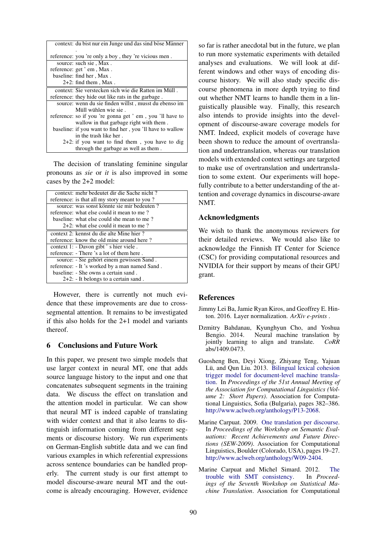| context: du bist nur ein Junge und das sind böse Männer   |
|-----------------------------------------------------------|
|                                                           |
| reference: you 're only a boy, they 're vicious men.      |
| source: such sie, Max.                                    |
| reference: get ' em , Max.                                |
| baseline: find her, Max.                                  |
| $2+2$ : find them, Max.                                   |
| context: Sie verstecken sich wie die Ratten im Müll.      |
| reference: they hide out like rats in the garbage.        |
| source: wenn du sie finden willst, musst du ebenso im     |
| Müll wühlen wie sie.                                      |
| reference: so if you 're gonna get ' em, you 'll have to  |
| wallow in that garbage right with them.                   |
| baseline: if you want to find her, you 'll have to wallow |
| in the trash like her.                                    |
| $2+2$ : if you want to find them, you have to dig         |
| through the garbage as well as them.                      |

The decision of translating feminine singular pronouns as *sie* or *it* is also improved in some cases by the 2+2 model:

| context: mehr bedeutet dir die Sache nicht?    |
|------------------------------------------------|
| reference: is that all my story meant to you?  |
| source: was sonst könnte sie mir bedeuten?     |
| reference: what else could it mean to me?      |
| baseline: what else could she mean to me?      |
| $2+2$ : what else could it mean to me?         |
| context 2: kennst du die alte Mine hier ?      |
| reference: know the old mine around here?      |
| context 1: - Davon gibt ' s hier viele.        |
| reference: - There 's a lot of them here.      |
| source: - Sie gehört einem gewissen Sand.      |
| reference: - It 's worked by a man named Sand. |
| baseline: - She owns a certain sand.           |
| $2+2$ : - It belongs to a certain sand.        |

However, there is currently not much evidence that these improvements are due to crosssegmental attention. It remains to be investigated if this also holds for the 2+1 model and variants thereof.

# 6 Conclusions and Future Work

In this paper, we present two simple models that use larger context in neural MT, one that adds source language history to the input and one that concatenates subsequent segments in the training data. We discuss the effect on translation and the attention model in particular. We can show that neural MT is indeed capable of translating with wider context and that it also learns to distinguish information coming from different segments or discourse history. We run experiments on German-English subtitle data and we can find various examples in which referential expressions across sentence boundaries can be handled properly. The current study is our first attempt to model discourse-aware neural MT and the outcome is already encouraging. However, evidence so far is rather anecdotal but in the future, we plan to run more systematic experiments with detailed analyses and evaluations. We will look at different windows and other ways of encoding discourse history. We will also study specific discourse phenomena in more depth trying to find out whether NMT learns to handle them in a linguistically plausible way. Finally, this research also intends to provide insights into the development of discourse-aware coverage models for NMT. Indeed, explicit models of coverage have been shown to reduce the amount of overtranslation and undertranslation, whereas our translation models with extended context settings are targeted to make use of overtranslation and undertranslation to some extent. Our experiments will hopefully contribute to a better understanding of the attention and coverage dynamics in discourse-aware NMT.

### Acknowledgments

We wish to thank the anonymous reviewers for their detailed reviews. We would also like to acknowledge the Finnish IT Center for Science (CSC) for providing computational resources and NVIDIA for their support by means of their GPU grant.

### **References**

- Jimmy Lei Ba, Jamie Ryan Kiros, and Geoffrey E. Hinton. 2016. Layer normalization. *ArXiv e-prints* .
- Dzmitry Bahdanau, Kyunghyun Cho, and Yoshua Bengio. 2014. Neural machine translation by jointly learning to align and translate. *CoRR* abs/1409.0473.
- Guosheng Ben, Deyi Xiong, Zhiyang Teng, Yajuan Lü, and Oun Liu. 2013. Bilingual lexical cohesion trigger model for document-level machine translation. In *Proceedings of the 51st Annual Meeting of the Association for Computational Linguistics (Volume 2: Short Papers)*. Association for Computational Linguistics, Sofia (Bulgaria), pages 382–386. http://www.aclweb.org/anthology/P13-2068.
- Marine Carpuat. 2009. One translation per discourse. In *Proceedings of the Workshop on Semantic Evaluations: Recent Achievements and Future Directions (SEW-2009)*. Association for Computational Linguistics, Boulder (Colorado, USA), pages 19–27. http://www.aclweb.org/anthology/W09-2404.
- Marine Carpuat and Michel Simard. 2012. The<br>trouble with SMT consistency. In *Proceed*trouble with **SMT** consistency. *ings of the Seventh Workshop on Statistical Machine Translation*. Association for Computational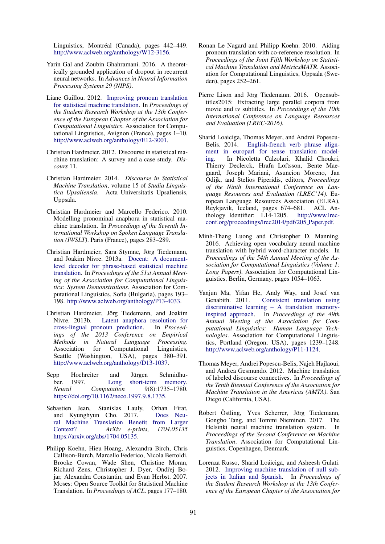Linguistics, Montréal (Canada), pages 442–449. http://www.aclweb.org/anthology/W12-3156.

- Yarin Gal and Zoubin Ghahramani. 2016. A theoretically grounded application of dropout in recurrent neural networks. In *Advances in Neural Information Processing Systems 29 (NIPS)*.
- Liane Guillou. 2012. Improving pronoun translation for statistical machine translation. In *Proceedings of the Student Research Workshop at the 13th Conference of the European Chapter of the Association for Computational Linguistics*. Association for Computational Linguistics, Avignon (France), pages 1–10. http://www.aclweb.org/anthology/E12-3001.
- Christian Hardmeier. 2012. Discourse in statistical machine translation: A survey and a case study. *Discours* 11.
- Christian Hardmeier. 2014. *Discourse in Statistical Machine Translation*, volume 15 of *Studia Linguistica Upsaliensia*. Acta Universitatis Upsaliensis, Uppsala.
- Christian Hardmeier and Marcello Federico. 2010. Modelling pronominal anaphora in statistical machine translation. In *Proceedings of the Seventh International Workshop on Spoken Language Translation (IWSLT)*. Paris (France), pages 283–289.
- Christian Hardmeier, Sara Stymne, Jörg Tiedemann, and Joakim Nivre. 2013a. Docent: A documentlevel decoder for phrase-based statistical machine translation. In *Proceedings of the 51st Annual Meeting of the Association for Computational Linguistics: System Demonstrations*. Association for Computational Linguistics, Sofia (Bulgaria), pages 193– 198. http://www.aclweb.org/anthology/P13-4033.
- Christian Hardmeier, Jörg Tiedemann, and Joakim Nivre. 2013b. Latent anaphora resolution for cross-lingual pronoun prediction. In *Proceedings of the 2013 Conference on Empirical Methods in Natural Language Processing*. Association for Computational Linguistics, Seattle (Washington, USA), pages 380–391. http://www.aclweb.org/anthology/D13-1037.
- Sepp Hochreiter and Jürgen Schmidhuber. 1997. Long short-term memory. *Neural Computation* 9(8):1735–1780. https://doi.org/10.1162/neco.1997.9.8.1735.
- Sebastien Jean, Stanislas Lauly, Orhan Firat, and Kyunghyun Cho. 2017. Does Neural Machine Translation Benefit from Larger Context? *ArXiv e-prints, 1704.05135* https://arxiv.org/abs/1704.05135.
- Philipp Koehn, Hieu Hoang, Alexandra Birch, Chris Callison-Burch, Marcello Federico, Nicola Bertoldi, Brooke Cowan, Wade Shen, Christine Moran, Richard Zens, Christopher J. Dyer, Ondřej Bojar, Alexandra Constantin, and Evan Herbst. 2007. Moses: Open Source Toolkit for Statistical Machine Translation. In *Proceedings of ACL*. pages 177–180.
- Ronan Le Nagard and Philipp Koehn. 2010. Aiding pronoun translation with co-reference resolution. In *Proceedings of the Joint Fifth Workshop on Statistical Machine Translation and MetricsMATR*. Association for Computational Linguistics, Uppsala (Sweden), pages 252–261.
- Pierre Lison and Jörg Tiedemann. 2016. Opensubtitles2015: Extracting large parallel corpora from movie and tv subtitles. In *Proceedings of the 10th International Conference on Language Resources and Evaluation (LREC-2016)*.
- Sharid Loaiciga, Thomas Meyer, and Andrei Popescu-Belis. 2014. English-french verb phrase alignment in europarl for tense translation modeling. In Nicoletta Calzolari, Khalid Choukri, Thierry Declerck, Hrafn Loftsson, Bente Maegaard, Joseph Mariani, Asuncion Moreno, Jan Odijk, and Stelios Piperidis, editors, *Proceedings of the Ninth International Conference on Language Resources and Evaluation (LREC'14)*. European Language Resources Association (ELRA), Reykjavik, Iceland, pages 674–681. ACL Anthology Identifier: L14-1205. http://www.lrecconf.org/proceedings/lrec2014/pdf/205 Paper.pdf.
- Minh-Thang Luong and Christopher D. Manning. 2016. Achieving open vocabulary neural machine translation with hybrid word-character models. In *Proceedings of the 54th Annual Meeting of the Association for Computational Linguistics (Volume 1: Long Papers)*. Association for Computational Linguistics, Berlin, Germany, pages 1054–1063.
- Yanjun Ma, Yifan He, Andy Way, and Josef van Consistent translation using discriminative learning – A translation memoryinspired approach. In *Proceedings of the 49th Annual Meeting of the Association for Computational Linguistics: Human Language Technologies*. Association for Computational Linguistics, Portland (Oregon, USA), pages 1239–1248. http://www.aclweb.org/anthology/P11-1124.
- Thomas Meyer, Andrei Popescu-Belis, Najeh Hajlaoui, and Andrea Gesmundo. 2012. Machine translation of labeled discourse connectives. In *Proceedings of the Tenth Biennial Conference of the Association for Machine Translation in the Americas (AMTA)*. San Diego (California, USA).
- Robert Östling, Yves Scherrer, Jörg Tiedemann, Gongbo Tang, and Tommi Nieminen. 2017. The Helsinki neural machine translation system. In *Proceedings of the Second Conference on Machine Translation*. Association for Computational Linguistics, Copenhagen, Denmark.
- Lorenza Russo, Sharid Loáiciga, and Asheesh Gulati. 2012. Improving machine translation of null subjects in Italian and Spanish. In *Proceedings of the Student Research Workshop at the 13th Conference of the European Chapter of the Association for*